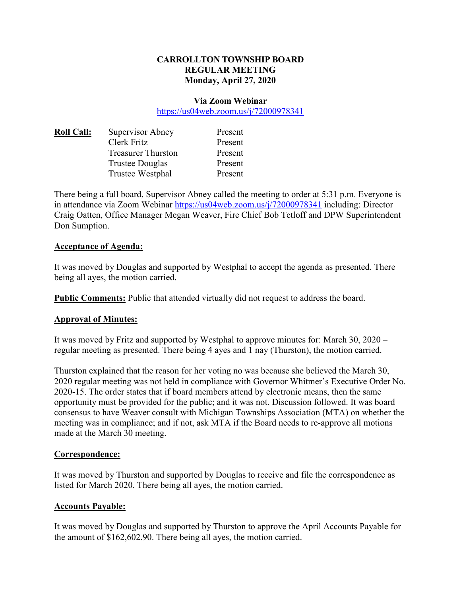## **CARROLLTON TOWNSHIP BOARD REGULAR MEETING Monday, April 27, 2020**

#### **Via Zoom Webinar**

https://us04web.zoom.us/j/72000978341

| <b>Roll Call:</b> | Supervisor Abney          | Present |
|-------------------|---------------------------|---------|
|                   | Clerk Fritz               | Present |
|                   | <b>Treasurer Thurston</b> | Present |
|                   | <b>Trustee Douglas</b>    | Present |
|                   | Trustee Westphal          | Present |
|                   |                           |         |

There being a full board, Supervisor Abney called the meeting to order at 5:31 p.m. Everyone is in attendance via Zoom Webinar https://us04web.zoom.us/j/72000978341 including: Director Craig Oatten, Office Manager Megan Weaver, Fire Chief Bob Tetloff and DPW Superintendent Don Sumption.

## **Acceptance of Agenda:**

It was moved by Douglas and supported by Westphal to accept the agenda as presented. There being all ayes, the motion carried.

**Public Comments:** Public that attended virtually did not request to address the board.

## **Approval of Minutes:**

It was moved by Fritz and supported by Westphal to approve minutes for: March 30, 2020 – regular meeting as presented. There being 4 ayes and 1 nay (Thurston), the motion carried.

Thurston explained that the reason for her voting no was because she believed the March 30, 2020 regular meeting was not held in compliance with Governor Whitmer's Executive Order No. 2020-15. The order states that if board members attend by electronic means, then the same opportunity must be provided for the public; and it was not. Discussion followed. It was board consensus to have Weaver consult with Michigan Townships Association (MTA) on whether the meeting was in compliance; and if not, ask MTA if the Board needs to re-approve all motions made at the March 30 meeting.

#### **Correspondence:**

It was moved by Thurston and supported by Douglas to receive and file the correspondence as listed for March 2020. There being all ayes, the motion carried.

## **Accounts Payable:**

It was moved by Douglas and supported by Thurston to approve the April Accounts Payable for the amount of \$162,602.90. There being all ayes, the motion carried.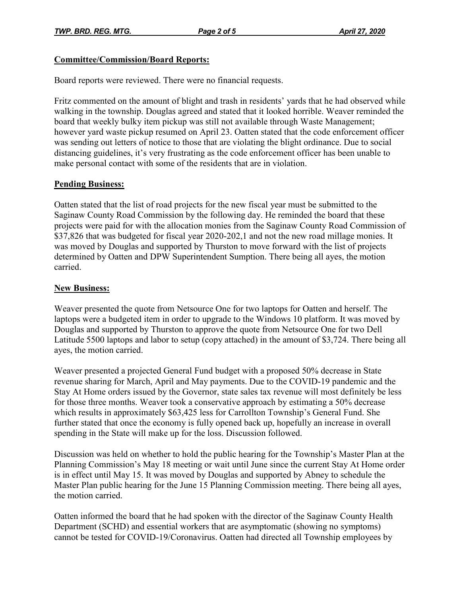## **Committee/Commission/Board Reports:**

Board reports were reviewed. There were no financial requests.

Fritz commented on the amount of blight and trash in residents' yards that he had observed while walking in the township. Douglas agreed and stated that it looked horrible. Weaver reminded the board that weekly bulky item pickup was still not available through Waste Management; however yard waste pickup resumed on April 23. Oatten stated that the code enforcement officer was sending out letters of notice to those that are violating the blight ordinance. Due to social distancing guidelines, it's very frustrating as the code enforcement officer has been unable to make personal contact with some of the residents that are in violation.

# **Pending Business:**

Oatten stated that the list of road projects for the new fiscal year must be submitted to the Saginaw County Road Commission by the following day. He reminded the board that these projects were paid for with the allocation monies from the Saginaw County Road Commission of \$37,826 that was budgeted for fiscal year 2020-202,1 and not the new road millage monies. It was moved by Douglas and supported by Thurston to move forward with the list of projects determined by Oatten and DPW Superintendent Sumption. There being all ayes, the motion carried.

# **New Business:**

Weaver presented the quote from Netsource One for two laptops for Oatten and herself. The laptops were a budgeted item in order to upgrade to the Windows 10 platform. It was moved by Douglas and supported by Thurston to approve the quote from Netsource One for two Dell Latitude 5500 laptops and labor to setup (copy attached) in the amount of \$3,724. There being all ayes, the motion carried.

Weaver presented a projected General Fund budget with a proposed 50% decrease in State revenue sharing for March, April and May payments. Due to the COVID-19 pandemic and the Stay At Home orders issued by the Governor, state sales tax revenue will most definitely be less for those three months. Weaver took a conservative approach by estimating a 50% decrease which results in approximately \$63,425 less for Carrollton Township's General Fund. She further stated that once the economy is fully opened back up, hopefully an increase in overall spending in the State will make up for the loss. Discussion followed.

Discussion was held on whether to hold the public hearing for the Township's Master Plan at the Planning Commission's May 18 meeting or wait until June since the current Stay At Home order is in effect until May 15. It was moved by Douglas and supported by Abney to schedule the Master Plan public hearing for the June 15 Planning Commission meeting. There being all ayes, the motion carried.

Oatten informed the board that he had spoken with the director of the Saginaw County Health Department (SCHD) and essential workers that are asymptomatic (showing no symptoms) cannot be tested for COVID-19/Coronavirus. Oatten had directed all Township employees by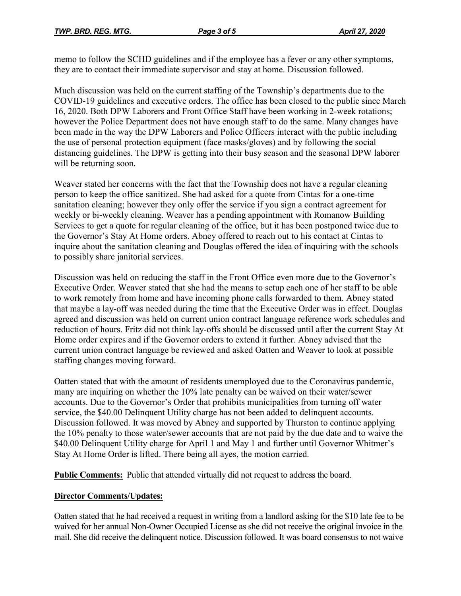memo to follow the SCHD guidelines and if the employee has a fever or any other symptoms, they are to contact their immediate supervisor and stay at home. Discussion followed.

Much discussion was held on the current staffing of the Township's departments due to the COVID-19 guidelines and executive orders. The office has been closed to the public since March 16, 2020. Both DPW Laborers and Front Office Staff have been working in 2-week rotations; however the Police Department does not have enough staff to do the same. Many changes have been made in the way the DPW Laborers and Police Officers interact with the public including the use of personal protection equipment (face masks/gloves) and by following the social distancing guidelines. The DPW is getting into their busy season and the seasonal DPW laborer will be returning soon.

Weaver stated her concerns with the fact that the Township does not have a regular cleaning person to keep the office sanitized. She had asked for a quote from Cintas for a one-time sanitation cleaning; however they only offer the service if you sign a contract agreement for weekly or bi-weekly cleaning. Weaver has a pending appointment with Romanow Building Services to get a quote for regular cleaning of the office, but it has been postponed twice due to the Governor's Stay At Home orders. Abney offered to reach out to his contact at Cintas to inquire about the sanitation cleaning and Douglas offered the idea of inquiring with the schools to possibly share janitorial services.

Discussion was held on reducing the staff in the Front Office even more due to the Governor's Executive Order. Weaver stated that she had the means to setup each one of her staff to be able to work remotely from home and have incoming phone calls forwarded to them. Abney stated that maybe a lay-off was needed during the time that the Executive Order was in effect. Douglas agreed and discussion was held on current union contract language reference work schedules and reduction of hours. Fritz did not think lay-offs should be discussed until after the current Stay At Home order expires and if the Governor orders to extend it further. Abney advised that the current union contract language be reviewed and asked Oatten and Weaver to look at possible staffing changes moving forward.

Oatten stated that with the amount of residents unemployed due to the Coronavirus pandemic, many are inquiring on whether the 10% late penalty can be waived on their water/sewer accounts. Due to the Governor's Order that prohibits municipalities from turning off water service, the \$40.00 Delinquent Utility charge has not been added to delinquent accounts. Discussion followed. It was moved by Abney and supported by Thurston to continue applying the 10% penalty to those water/sewer accounts that are not paid by the due date and to waive the \$40.00 Delinquent Utility charge for April 1 and May 1 and further until Governor Whitmer's Stay At Home Order is lifted. There being all ayes, the motion carried.

**Public Comments:** Public that attended virtually did not request to address the board.

# **Director Comments/Updates:**

Oatten stated that he had received a request in writing from a landlord asking for the \$10 late fee to be waived for her annual Non-Owner Occupied License as she did not receive the original invoice in the mail. She did receive the delinquent notice. Discussion followed. It was board consensus to not waive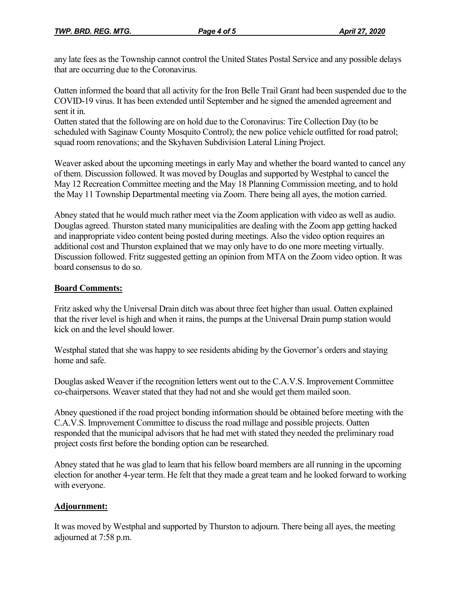any late fees as the Township cannot control the United States Postal Service and any possible delays that are occurring due to the Coronavirus.

Oatten informed the board that all activity for the Iron Belle Trail Grant had been suspended due to the COVID-19 virus. It has been extended until September and he signed the amended agreement and sent it in.

Oatten stated that the following are on hold due to the Coronavirus: Tire Collection Day (to be scheduled with Saginaw County Mosquito Control); the new police vehicle outfitted for road patrol; squad room renovations; and the Skyhaven Subdivision Lateral Lining Project.

Weaver asked about the upcoming meetings in early May and whether the board wanted to cancel any of them. Discussion followed. It was moved by Douglas and supported by Westphal to cancel the May 12 Recreation Committee meeting and the May 18 Planning Commission meeting, and to hold the May 11 Township Departmental meeting via Zoom. There being all ayes, the motion carried.

Abney stated that he would much rather meet via the Zoom application with video as well as audio. Douglas agreed. Thurston stated many municipalities are dealing with the Zoom app getting hacked and inappropriate video content being posted during meetings. Also the video option requires an additional cost and Thurston explained that we may only have to do one more meeting virtually. Discussion followed. Fritz suggested getting an opinion from MTA on the Zoom video option. It was board consensus to do so.

# **Board Comments:**

Fritz asked why the Universal Drain ditch was about three feet higher than usual. Oatten explained that the river level is high and when it rains, the pumps at the Universal Drain pump station would kick on and the level should lower.

Westphal stated that she was happy to see residents abiding by the Governor's orders and staying home and safe.

Douglas asked Weaver if the recognition letters went out to the C.A.V.S. Improvement Committee co-chairpersons. Weaver stated that they had not and she would get them mailed soon.

Abney questioned if the road project bonding information should be obtained before meeting with the C.A.V.S. Improvement Committee to discuss the road millage and possible projects. Oatten responded that the municipal advisors that he had met with stated they needed the preliminary road project costs first before the bonding option can be researched.

Abney stated that he was glad to learn that his fellow board members are all running in the upcoming election for another 4-year term. He felt that they made a great team and he looked forward to working with everyone.

# **Adjournment:**

It was moved by Westphal and supported by Thurston to adjourn. There being all ayes, the meeting adjourned at 7:58 p.m.